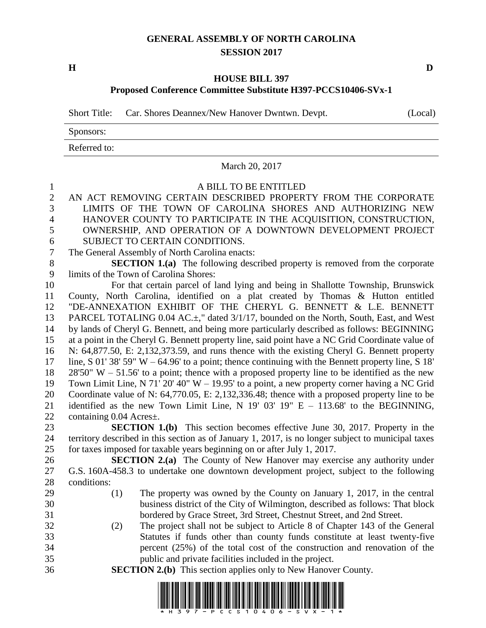## **GENERAL ASSEMBLY OF NORTH CAROLINA SESSION 2017**

**H D**

## **HOUSE BILL 397 Proposed Conference Committee Substitute H397-PCCS10406-SVx-1**

Short Title: Car. Shores Deannex/New Hanover Dwntwn. Devpt. (Local)

Sponsors:

Referred to:

## March 20, 2017

## 1 A BILL TO BE ENTITLED<br>2 AN ACT REMOVING CERTAIN DESCRIBED PROPER AN ACT REMOVING CERTAIN DESCRIBED PROPERTY FROM THE CORPORATE LIMITS OF THE TOWN OF CAROLINA SHORES AND AUTHORIZING NEW HANOVER COUNTY TO PARTICIPATE IN THE ACQUISITION, CONSTRUCTION, OWNERSHIP, AND OPERATION OF A DOWNTOWN DEVELOPMENT PROJECT SUBJECT TO CERTAIN CONDITIONS. The General Assembly of North Carolina enacts: **SECTION 1.(a)** The following described property is removed from the corporate limits of the Town of Carolina Shores: For that certain parcel of land lying and being in Shallotte Township, Brunswick County, North Carolina, identified on a plat created by Thomas & Hutton entitled "DE-ANNEXATION EXHIBIT OF THE CHERYL G. BENNETT & L.E. BENNETT 13 PARCEL TOTALING 0.04 AC. $\pm$ ," dated 3/1/17, bounded on the North, South, East, and West by lands of Cheryl G. Bennett, and being more particularly described as follows: BEGINNING at a point in the Cheryl G. Bennett property line, said point have a NC Grid Coordinate value of N: 64,877.50, E: 2,132,373.59, and runs thence with the existing Cheryl G. Bennett property line, S 01' 38' 59" W – 64.96' to a point; thence continuing with the Bennett property line, S 18' 28'50" W – 51.56' to a point; thence with a proposed property line to be identified as the new Town Limit Line, N 71' 20' 40" W – 19.95' to a point, a new property corner having a NC Grid Coordinate value of N: 64,770.05, E: 2,132,336.48; thence with a proposed property line to be identified as the new Town Limit Line, N 19' 03' 19" E – 113.68' to the BEGINNING, containing 0.04 Acres±. **SECTION 1.(b)** This section becomes effective June 30, 2017. Property in the territory described in this section as of January 1, 2017, is no longer subject to municipal taxes for taxes imposed for taxable years beginning on or after July 1, 2017. **SECTION 2.(a)** The County of New Hanover may exercise any authority under G.S. 160A-458.3 to undertake one downtown development project, subject to the following conditions: (1) The property was owned by the County on January 1, 2017, in the central business district of the City of Wilmington, described as follows: That block bordered by Grace Street, 3rd Street, Chestnut Street, and 2nd Street. (2) The project shall not be subject to Article 8 of Chapter 143 of the General Statutes if funds other than county funds constitute at least twenty-five percent (25%) of the total cost of the construction and renovation of the public and private facilities included in the project.